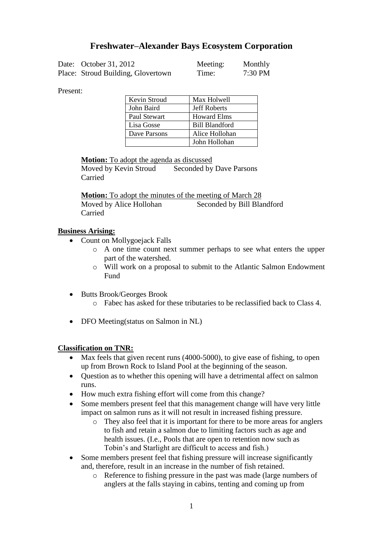# **Freshwater–Alexander Bays Ecosystem Corporation**

| Date: October 31, 2012             | Meeting: | Monthly |
|------------------------------------|----------|---------|
| Place: Stroud Building, Glovertown | Time:    | 7:30 PM |

Present:

| Kevin Stroud | Max Holwell           |
|--------------|-----------------------|
| John Baird   | <b>Jeff Roberts</b>   |
| Paul Stewart | <b>Howard Elms</b>    |
| Lisa Gosse   | <b>Bill Blandford</b> |
| Dave Parsons | Alice Hollohan        |
|              | John Hollohan         |

**Motion:** To adopt the agenda as discussed

Moved by Kevin Stroud Seconded by Dave Parsons Carried

**Motion:** To adopt the minutes of the meeting of March 28 Moved by Alice Hollohan Seconded by Bill Blandford Carried

## **Business Arising:**

- Count on Mollygoejack Falls
	- o A one time count next summer perhaps to see what enters the upper part of the watershed.
	- o Will work on a proposal to submit to the Atlantic Salmon Endowment Fund
- Butts Brook/Georges Brook
	- o Fabec has asked for these tributaries to be reclassified back to Class 4.
- DFO Meeting(status on Salmon in NL)

#### **Classification on TNR:**

- Max feels that given recent runs (4000-5000), to give ease of fishing, to open up from Brown Rock to Island Pool at the beginning of the season.
- Ouestion as to whether this opening will have a detrimental affect on salmon runs.
- How much extra fishing effort will come from this change?
- Some members present feel that this management change will have very little impact on salmon runs as it will not result in increased fishing pressure.
	- o They also feel that it is important for there to be more areas for anglers to fish and retain a salmon due to limiting factors such as age and health issues. (I.e., Pools that are open to retention now such as Tobin's and Starlight are difficult to access and fish.)
- Some members present feel that fishing pressure will increase significantly and, therefore, result in an increase in the number of fish retained.
	- o Reference to fishing pressure in the past was made (large numbers of anglers at the falls staying in cabins, tenting and coming up from